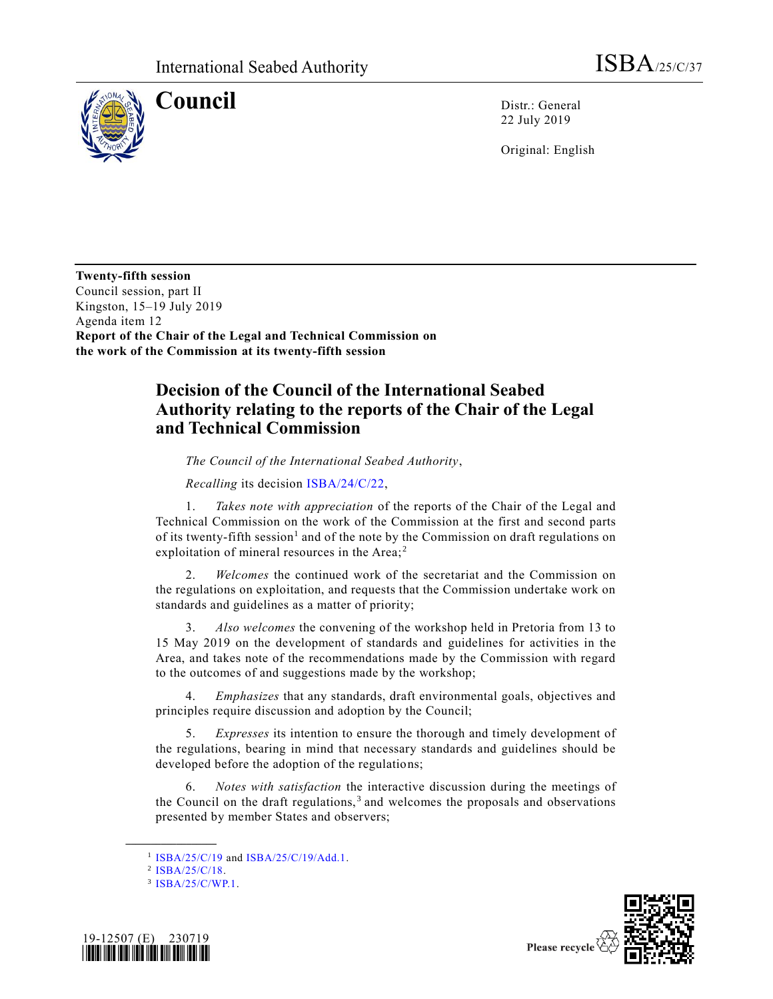

**Council** Distr.: General 22 July 2019

Original: English

**Twenty-fifth session** Council session, part II Kingston, 15–19 July 2019 Agenda item 12 **Report of the Chair of the Legal and Technical Commission on the work of the Commission at its twenty-fifth session**

## **Decision of the Council of the International Seabed Authority relating to the reports of the Chair of the Legal and Technical Commission**

*The Council of the International Seabed Authority*,

*Recalling* its decision [ISBA/24/C/22,](https://undocs.org/en/ISBA/24/C/22)

1. *Takes note with appreciation* of the reports of the Chair of the Legal and Technical Commission on the work of the Commission at the first and second parts of its twenty-fifth session<sup>1</sup> and of the note by the Commission on draft regulations on exploitation of mineral resources in the Area;<sup>2</sup>

2. *Welcomes* the continued work of the secretariat and the Commission on the regulations on exploitation, and requests that the Commission undertake work on standards and guidelines as a matter of priority;

3. *Also welcomes* the convening of the workshop held in Pretoria from 13 to 15 May 2019 on the development of standards and guidelines for activities in the Area, and takes note of the recommendations made by the Commission with regard to the outcomes of and suggestions made by the workshop;

4. *Emphasizes* that any standards, draft environmental goals, objectives and principles require discussion and adoption by the Council;

5. *Expresses* its intention to ensure the thorough and timely development of the regulations, bearing in mind that necessary standards and guidelines should be developed before the adoption of the regulations;

6. *Notes with satisfaction* the interactive discussion during the meetings of the Council on the draft regulations,<sup>3</sup> and welcomes the proposals and observations presented by member States and observers;

**\_\_\_\_\_\_\_\_\_\_\_\_\_\_\_\_\_\_**

<sup>3</sup> [ISBA/25/C/WP.1.](https://undocs.org/en/ISBA/25/C/WP.1)





Please recycle

<sup>&</sup>lt;sup>1</sup> [ISBA/25/C/19](https://undocs.org/en/ISBA/25/C/19) and [ISBA/25/C/19/Add.1.](https://undocs.org/en/ISBA/25/C/19/Add.1)

<sup>2</sup> [ISBA/25/C/18.](https://undocs.org/en/ISBA/25/C/18)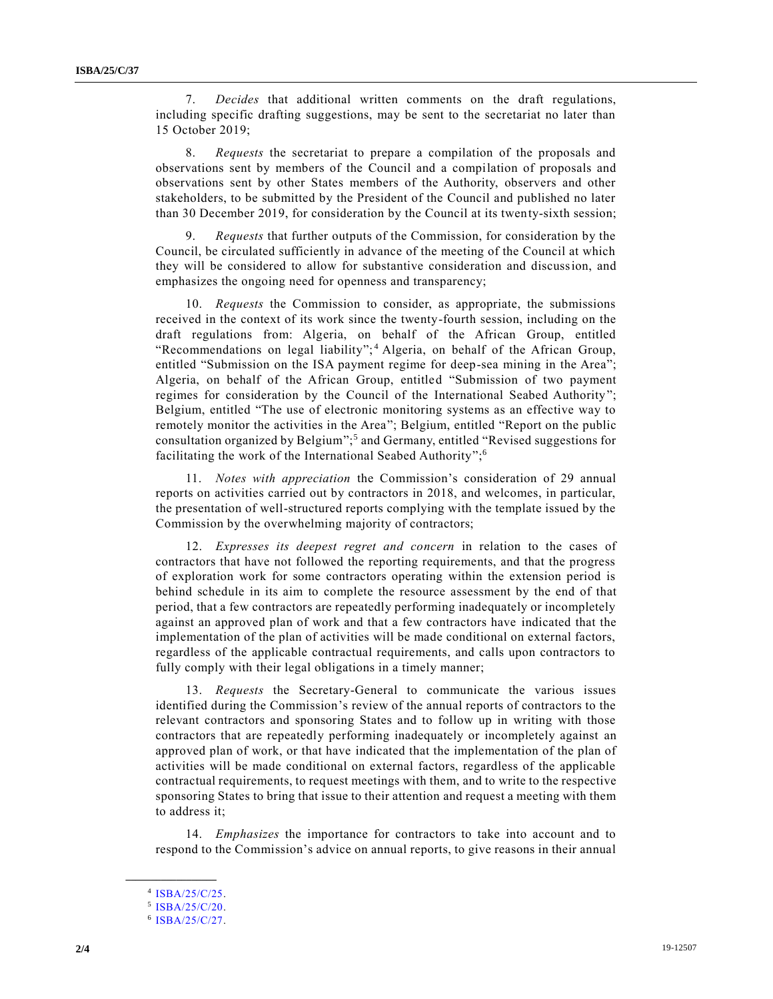7. *Decides* that additional written comments on the draft regulations, including specific drafting suggestions, may be sent to the secretariat no later than 15 October 2019;

8. *Requests* the secretariat to prepare a compilation of the proposals and observations sent by members of the Council and a compilation of proposals and observations sent by other States members of the Authority, observers and other stakeholders, to be submitted by the President of the Council and published no later than 30 December 2019, for consideration by the Council at its twenty-sixth session;

9. *Requests* that further outputs of the Commission, for consideration by the Council, be circulated sufficiently in advance of the meeting of the Council at which they will be considered to allow for substantive consideration and discussion, and emphasizes the ongoing need for openness and transparency;

10. *Requests* the Commission to consider, as appropriate, the submissions received in the context of its work since the twenty-fourth session, including on the draft regulations from: Algeria, on behalf of the African Group, entitled "Recommendations on legal liability";<sup>4</sup> Algeria, on behalf of the African Group, entitled "Submission on the ISA payment regime for deep-sea mining in the Area"; Algeria, on behalf of the African Group, entitled "Submission of two payment regimes for consideration by the Council of the International Seabed Authority"; Belgium, entitled "The use of electronic monitoring systems as an effective way to remotely monitor the activities in the Area"; Belgium, entitled "Report on the public consultation organized by Belgium";<sup>5</sup> and Germany, entitled "Revised suggestions for facilitating the work of the International Seabed Authority";<sup>6</sup>

11. *Notes with appreciation* the Commission's consideration of 29 annual reports on activities carried out by contractors in 2018, and welcomes, in particular, the presentation of well-structured reports complying with the template issued by the Commission by the overwhelming majority of contractors;

12. *Expresses its deepest regret and concern* in relation to the cases of contractors that have not followed the reporting requirements, and that the progress of exploration work for some contractors operating within the extension period is behind schedule in its aim to complete the resource assessment by the end of that period, that a few contractors are repeatedly performing inadequately or incompletely against an approved plan of work and that a few contractors have indicated that the implementation of the plan of activities will be made conditional on external factors, regardless of the applicable contractual requirements, and calls upon contractors to fully comply with their legal obligations in a timely manner;

13. *Requests* the Secretary-General to communicate the various issues identified during the Commission's review of the annual reports of contractors to the relevant contractors and sponsoring States and to follow up in writing with those contractors that are repeatedly performing inadequately or incompletely against an approved plan of work, or that have indicated that the implementation of the plan of activities will be made conditional on external factors, regardless of the applicable contractual requirements, to request meetings with them, and to write to the respective sponsoring States to bring that issue to their attention and request a meeting with them to address it;

14. *Emphasizes* the importance for contractors to take into account and to respond to the Commission's advice on annual reports, to give reasons in their annual

**\_\_\_\_\_\_\_\_\_\_\_\_\_\_\_\_\_\_**

<sup>4</sup> [ISBA/25/C/25.](https://undocs.org/en/ISBA/25/C/25)

<sup>5</sup> [ISBA/25/C/20.](https://undocs.org/en/ISBA/25/C/20)

<sup>6</sup> [ISBA/25/C/27.](https://undocs.org/en/ISBA/25/C/27)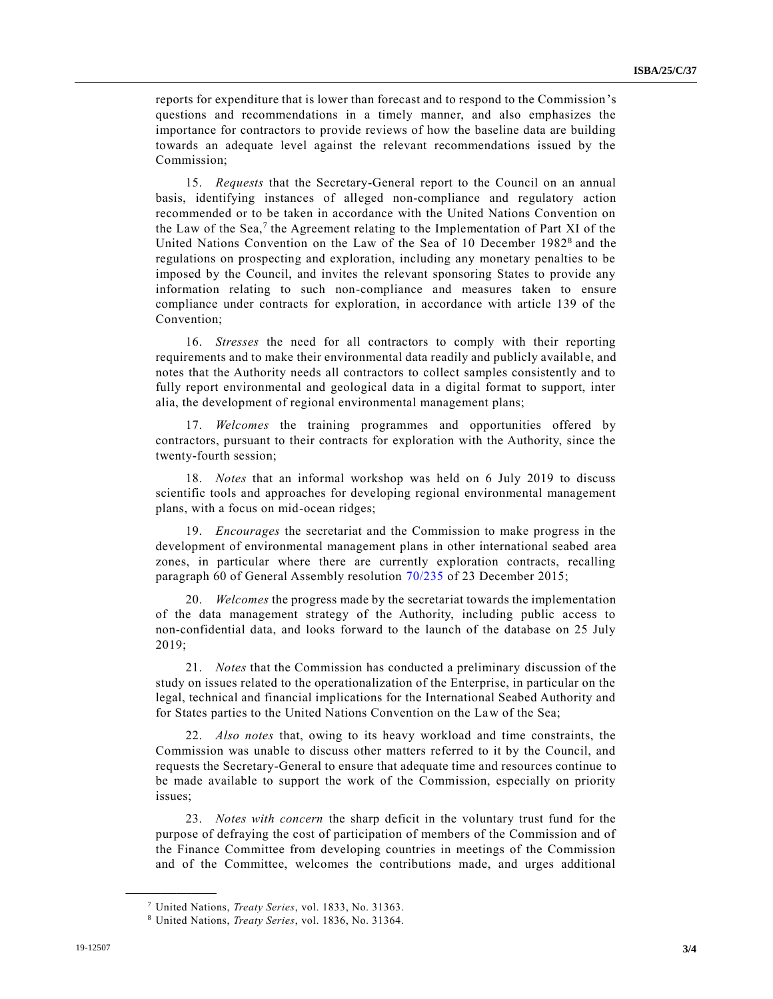reports for expenditure that is lower than forecast and to respond to the Commission's questions and recommendations in a timely manner, and also emphasizes the importance for contractors to provide reviews of how the baseline data are building towards an adequate level against the relevant recommendations issued by the Commission;

15. *Requests* that the Secretary-General report to the Council on an annual basis, identifying instances of alleged non-compliance and regulatory action recommended or to be taken in accordance with the United Nations Convention on the Law of the Sea,<sup>7</sup> the Agreement relating to the Implementation of Part XI of the United Nations Convention on the Law of the Sea of 10 December 1982<sup>8</sup> and the regulations on prospecting and exploration, including any monetary penalties to be imposed by the Council, and invites the relevant sponsoring States to provide any information relating to such non-compliance and measures taken to ensure compliance under contracts for exploration, in accordance with article 139 of the Convention;

16. *Stresses* the need for all contractors to comply with their reporting requirements and to make their environmental data readily and publicly availabl e, and notes that the Authority needs all contractors to collect samples consistently and to fully report environmental and geological data in a digital format to support, inter alia, the development of regional environmental management plans;

17. *Welcomes* the training programmes and opportunities offered by contractors, pursuant to their contracts for exploration with the Authority, since the twenty-fourth session;

18. *Notes* that an informal workshop was held on 6 July 2019 to discuss scientific tools and approaches for developing regional environmental management plans, with a focus on mid-ocean ridges;

19. *Encourages* the secretariat and the Commission to make progress in the development of environmental management plans in other international seabed area zones, in particular where there are currently exploration contracts, recalling paragraph 60 of General Assembly resolution [70/235](https://undocs.org/en/A/RES/70/235) of 23 December 2015;

20. *Welcomes* the progress made by the secretariat towards the implementation of the data management strategy of the Authority, including public access to non-confidential data, and looks forward to the launch of the database on 25 July 2019;

21. *Notes* that the Commission has conducted a preliminary discussion of the study on issues related to the operationalization of the Enterprise, in particular on the legal, technical and financial implications for the International Seabed Authority and for States parties to the United Nations Convention on the Law of the Sea;

22. *Also notes* that, owing to its heavy workload and time constraints, the Commission was unable to discuss other matters referred to it by the Council, and requests the Secretary-General to ensure that adequate time and resources continue to be made available to support the work of the Commission, especially on priority issues;

23. *Notes with concern* the sharp deficit in the voluntary trust fund for the purpose of defraying the cost of participation of members of the Commission and of the Finance Committee from developing countries in meetings of the Commission and of the Committee, welcomes the contributions made, and urges additional

**\_\_\_\_\_\_\_\_\_\_\_\_\_\_\_\_\_\_**

<sup>7</sup> United Nations, *Treaty Series*, vol. 1833, No. 31363.

<sup>8</sup> United Nations, *Treaty Series*, vol. 1836, No. 31364.